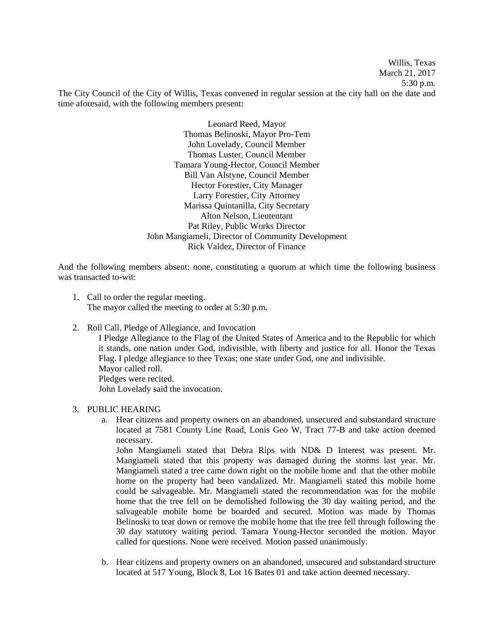Willis, Texas March 21, 2017 5:30 p.m. The City Council of the City of Willis, Texas convened in regular session at the city hall on the date and time aforesaid, with the following members present:

> Leonard Reed, Mayor Thomas Belinoski, Mayor Pro-Tem John Lovelady, Council Member Thomas Luster, Council Member Tamara Young-Hector, Council Member Bill Van Alstyne, Council Member Hector Forestier, City Manager Larry Forestier, City Attorney Marissa Quintanilla, City Secretary Alton Nelson, Lieutentant Pat Riley, Public Works Director John Mangiameli, Director of Community Development Rick Valdez, Director of Finance

And the following members absent: none, constituting a quorum at which time the following business was transacted to-wit:

- 1. Call to order the regular meeting. The mayor called the meeting to order at 5:30 p.m.
- 2. Roll Call, Pledge of Allegiance, and Invocation

I Pledge Allegiance to the Flag of the United States of America and to the Republic for which it stands, one nation under God, indivisible, with liberty and justice for all. Honor the Texas Flag. I pledge allegiance to thee Texas; one state under God, one and indivisible. Mayor called roll. Pledges were recited. John Lovelady said the invocation.

### 3. PUBLIC HEARING

a. Hear citizens and property owners on an abandoned, unsecured and substandard structure located at 7581 County Line Road, Lonis Geo W, Tract 77-B and take action deemed necessary.

John Mangiameli stated that Debra Rips with ND& D Interest was present. Mr. Mangiameli stated that this property was damaged during the storms last year. Mr. Mangiameli stated a tree came down right on the mobile home and that the other mobile home on the property had been vandalized. Mr. Mangiameli stated this mobile home could be salvageable. Mr. Mangiameli stated the recommendation was for the mobile home that the tree fell on be demolished following the 30 day waiting period, and the salvageable mobile home be boarded and secured. Motion was made by Thomas Belinoski to tear down or remove the mobile home that the tree fell through following the 30 day statutory waiting period. Tamara Young-Hector seconded the motion. Mayor called for questions. None were received. Motion passed unanimously.

b. Hear citizens and property owners on an abandoned, unsecured and substandard structure located at 517 Young, Block 8, Lot 16 Bates 01 and take action deemed necessary.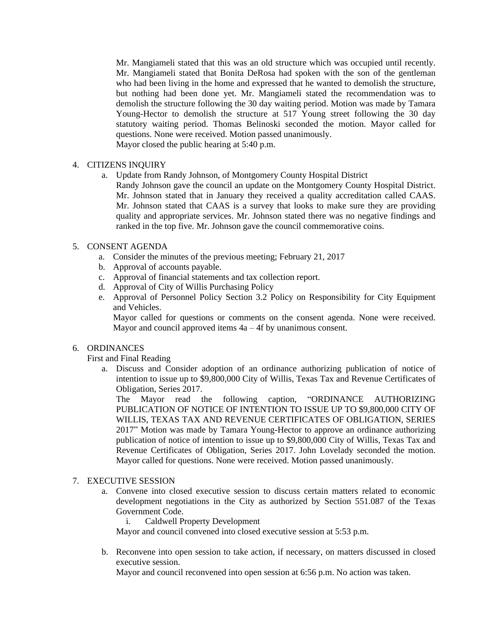Mr. Mangiameli stated that this was an old structure which was occupied until recently. Mr. Mangiameli stated that Bonita DeRosa had spoken with the son of the gentleman who had been living in the home and expressed that he wanted to demolish the structure, but nothing had been done yet. Mr. Mangiameli stated the recommendation was to demolish the structure following the 30 day waiting period. Motion was made by Tamara Young-Hector to demolish the structure at 517 Young street following the 30 day statutory waiting period. Thomas Belinoski seconded the motion. Mayor called for questions. None were received. Motion passed unanimously. Mayor closed the public hearing at 5:40 p.m.

4. CITIZENS INQUIRY

- a. Update from Randy Johnson, of Montgomery County Hospital District
	- Randy Johnson gave the council an update on the Montgomery County Hospital District. Mr. Johnson stated that in January they received a quality accreditation called CAAS. Mr. Johnson stated that CAAS is a survey that looks to make sure they are providing quality and appropriate services. Mr. Johnson stated there was no negative findings and ranked in the top five. Mr. Johnson gave the council commemorative coins.

# 5. CONSENT AGENDA

- a. Consider the minutes of the previous meeting; February 21, 2017
- b. Approval of accounts payable.
- c. Approval of financial statements and tax collection report.
- d. Approval of City of Willis Purchasing Policy
- e. Approval of Personnel Policy Section 3.2 Policy on Responsibility for City Equipment and Vehicles.

Mayor called for questions or comments on the consent agenda. None were received. Mayor and council approved items 4a – 4f by unanimous consent.

## 6. ORDINANCES

First and Final Reading

a. Discuss and Consider adoption of an ordinance authorizing publication of notice of intention to issue up to \$9,800,000 City of Willis, Texas Tax and Revenue Certificates of Obligation, Series 2017.

The Mayor read the following caption, "ORDINANCE AUTHORIZING PUBLICATION OF NOTICE OF INTENTION TO ISSUE UP TO \$9,800,000 CITY OF WILLIS, TEXAS TAX AND REVENUE CERTIFICATES OF OBLIGATION, SERIES 2017" Motion was made by Tamara Young-Hector to approve an ordinance authorizing publication of notice of intention to issue up to \$9,800,000 City of Willis, Texas Tax and Revenue Certificates of Obligation, Series 2017. John Lovelady seconded the motion. Mayor called for questions. None were received. Motion passed unanimously.

### 7. EXECUTIVE SESSION

- a. Convene into closed executive session to discuss certain matters related to economic development negotiations in the City as authorized by Section 551.087 of the Texas Government Code.
	- i. Caldwell Property Development

Mayor and council convened into closed executive session at 5:53 p.m.

b. Reconvene into open session to take action, if necessary, on matters discussed in closed executive session.

Mayor and council reconvened into open session at 6:56 p.m. No action was taken.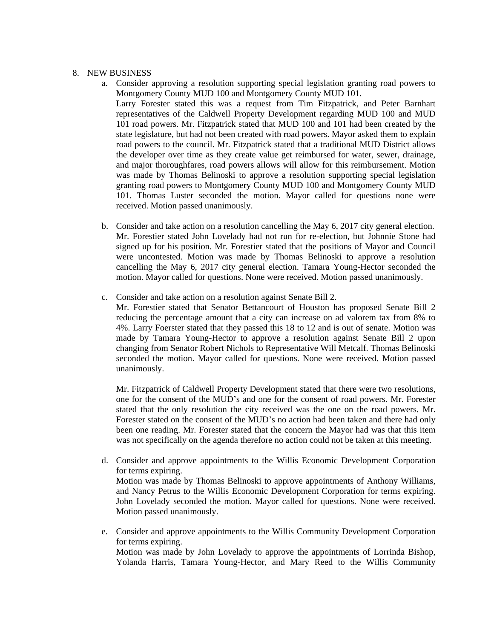## 8. NEW BUSINESS

- a. Consider approving a resolution supporting special legislation granting road powers to Montgomery County MUD 100 and Montgomery County MUD 101. Larry Forester stated this was a request from Tim Fitzpatrick, and Peter Barnhart representatives of the Caldwell Property Development regarding MUD 100 and MUD 101 road powers. Mr. Fitzpatrick stated that MUD 100 and 101 had been created by the state legislature, but had not been created with road powers. Mayor asked them to explain road powers to the council. Mr. Fitzpatrick stated that a traditional MUD District allows the developer over time as they create value get reimbursed for water, sewer, drainage, and major thoroughfares, road powers allows will allow for this reimbursement. Motion was made by Thomas Belinoski to approve a resolution supporting special legislation granting road powers to Montgomery County MUD 100 and Montgomery County MUD 101. Thomas Luster seconded the motion. Mayor called for questions none were received. Motion passed unanimously.
- b. Consider and take action on a resolution cancelling the May 6, 2017 city general election. Mr. Forestier stated John Lovelady had not run for re-election, but Johnnie Stone had signed up for his position. Mr. Forestier stated that the positions of Mayor and Council were uncontested. Motion was made by Thomas Belinoski to approve a resolution cancelling the May 6, 2017 city general election. Tamara Young-Hector seconded the motion. Mayor called for questions. None were received. Motion passed unanimously.
- c. Consider and take action on a resolution against Senate Bill 2.
	- Mr. Forestier stated that Senator Bettancourt of Houston has proposed Senate Bill 2 reducing the percentage amount that a city can increase on ad valorem tax from 8% to 4%. Larry Foerster stated that they passed this 18 to 12 and is out of senate. Motion was made by Tamara Young-Hector to approve a resolution against Senate Bill 2 upon changing from Senator Robert Nichols to Representative Will Metcalf. Thomas Belinoski seconded the motion. Mayor called for questions. None were received. Motion passed unanimously.

Mr. Fitzpatrick of Caldwell Property Development stated that there were two resolutions, one for the consent of the MUD's and one for the consent of road powers. Mr. Forester stated that the only resolution the city received was the one on the road powers. Mr. Forester stated on the consent of the MUD's no action had been taken and there had only been one reading. Mr. Forester stated that the concern the Mayor had was that this item was not specifically on the agenda therefore no action could not be taken at this meeting.

- d. Consider and approve appointments to the Willis Economic Development Corporation for terms expiring. Motion was made by Thomas Belinoski to approve appointments of Anthony Williams, and Nancy Petrus to the Willis Economic Development Corporation for terms expiring. John Lovelady seconded the motion. Mayor called for questions. None were received. Motion passed unanimously.
- e. Consider and approve appointments to the Willis Community Development Corporation for terms expiring. Motion was made by John Lovelady to approve the appointments of Lorrinda Bishop, Yolanda Harris, Tamara Young-Hector, and Mary Reed to the Willis Community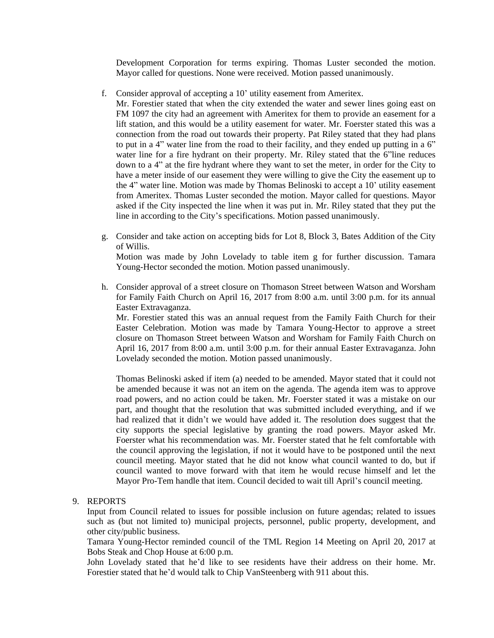Development Corporation for terms expiring. Thomas Luster seconded the motion. Mayor called for questions. None were received. Motion passed unanimously.

f. Consider approval of accepting a 10' utility easement from Ameritex.

Mr. Forestier stated that when the city extended the water and sewer lines going east on FM 1097 the city had an agreement with Ameritex for them to provide an easement for a lift station, and this would be a utility easement for water. Mr. Foerster stated this was a connection from the road out towards their property. Pat Riley stated that they had plans to put in a 4" water line from the road to their facility, and they ended up putting in a 6" water line for a fire hydrant on their property. Mr. Riley stated that the 6"line reduces down to a 4" at the fire hydrant where they want to set the meter, in order for the City to have a meter inside of our easement they were willing to give the City the easement up to the 4" water line. Motion was made by Thomas Belinoski to accept a 10' utility easement from Ameritex. Thomas Luster seconded the motion. Mayor called for questions. Mayor asked if the City inspected the line when it was put in. Mr. Riley stated that they put the line in according to the City's specifications. Motion passed unanimously.

g. Consider and take action on accepting bids for Lot 8, Block 3, Bates Addition of the City of Willis.

Motion was made by John Lovelady to table item g for further discussion. Tamara Young-Hector seconded the motion. Motion passed unanimously.

h. Consider approval of a street closure on Thomason Street between Watson and Worsham for Family Faith Church on April 16, 2017 from 8:00 a.m. until 3:00 p.m. for its annual Easter Extravaganza.

Mr. Forestier stated this was an annual request from the Family Faith Church for their Easter Celebration. Motion was made by Tamara Young-Hector to approve a street closure on Thomason Street between Watson and Worsham for Family Faith Church on April 16, 2017 from 8:00 a.m. until 3:00 p.m. for their annual Easter Extravaganza. John Lovelady seconded the motion. Motion passed unanimously.

Thomas Belinoski asked if item (a) needed to be amended. Mayor stated that it could not be amended because it was not an item on the agenda. The agenda item was to approve road powers, and no action could be taken. Mr. Foerster stated it was a mistake on our part, and thought that the resolution that was submitted included everything, and if we had realized that it didn't we would have added it. The resolution does suggest that the city supports the special legislative by granting the road powers. Mayor asked Mr. Foerster what his recommendation was. Mr. Foerster stated that he felt comfortable with the council approving the legislation, if not it would have to be postponed until the next council meeting. Mayor stated that he did not know what council wanted to do, but if council wanted to move forward with that item he would recuse himself and let the Mayor Pro-Tem handle that item. Council decided to wait till April's council meeting.

# 9. REPORTS

Input from Council related to issues for possible inclusion on future agendas; related to issues such as (but not limited to) municipal projects, personnel, public property, development, and other city/public business.

Tamara Young-Hector reminded council of the TML Region 14 Meeting on April 20, 2017 at Bobs Steak and Chop House at 6:00 p.m.

John Lovelady stated that he'd like to see residents have their address on their home. Mr. Forestier stated that he'd would talk to Chip VanSteenberg with 911 about this.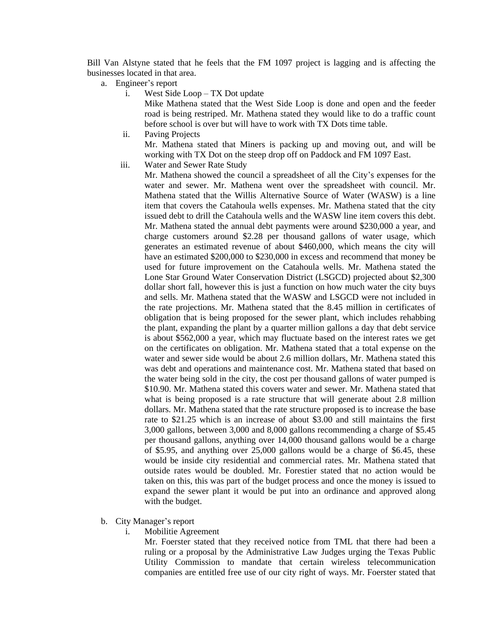Bill Van Alstyne stated that he feels that the FM 1097 project is lagging and is affecting the businesses located in that area.

- a. Engineer's report
	- i. West Side Loop TX Dot update

Mike Mathena stated that the West Side Loop is done and open and the feeder road is being restriped. Mr. Mathena stated they would like to do a traffic count before school is over but will have to work with TX Dots time table.

ii. Paving Projects

Mr. Mathena stated that Miners is packing up and moving out, and will be working with TX Dot on the steep drop off on Paddock and FM 1097 East.

iii. Water and Sewer Rate Study

Mr. Mathena showed the council a spreadsheet of all the City's expenses for the water and sewer. Mr. Mathena went over the spreadsheet with council. Mr. Mathena stated that the Willis Alternative Source of Water (WASW) is a line item that covers the Catahoula wells expenses. Mr. Mathena stated that the city issued debt to drill the Catahoula wells and the WASW line item covers this debt. Mr. Mathena stated the annual debt payments were around \$230,000 a year, and charge customers around \$2.28 per thousand gallons of water usage, which generates an estimated revenue of about \$460,000, which means the city will have an estimated \$200,000 to \$230,000 in excess and recommend that money be used for future improvement on the Catahoula wells. Mr. Mathena stated the Lone Star Ground Water Conservation District (LSGCD) projected about \$2,300 dollar short fall, however this is just a function on how much water the city buys and sells. Mr. Mathena stated that the WASW and LSGCD were not included in the rate projections. Mr. Mathena stated that the 8.45 million in certificates of obligation that is being proposed for the sewer plant, which includes rehabbing the plant, expanding the plant by a quarter million gallons a day that debt service is about \$562,000 a year, which may fluctuate based on the interest rates we get on the certificates on obligation. Mr. Mathena stated that a total expense on the water and sewer side would be about 2.6 million dollars, Mr. Mathena stated this was debt and operations and maintenance cost. Mr. Mathena stated that based on the water being sold in the city, the cost per thousand gallons of water pumped is \$10.90. Mr. Mathena stated this covers water and sewer. Mr. Mathena stated that what is being proposed is a rate structure that will generate about 2.8 million dollars. Mr. Mathena stated that the rate structure proposed is to increase the base rate to \$21.25 which is an increase of about \$3.00 and still maintains the first 3,000 gallons, between 3,000 and 8,000 gallons recommending a charge of \$5.45 per thousand gallons, anything over 14,000 thousand gallons would be a charge of \$5.95, and anything over 25,000 gallons would be a charge of \$6.45, these would be inside city residential and commercial rates. Mr. Mathena stated that outside rates would be doubled. Mr. Forestier stated that no action would be taken on this, this was part of the budget process and once the money is issued to expand the sewer plant it would be put into an ordinance and approved along with the budget.

- b. City Manager's report
	- i. Mobilitie Agreement

Mr. Foerster stated that they received notice from TML that there had been a ruling or a proposal by the Administrative Law Judges urging the Texas Public Utility Commission to mandate that certain wireless telecommunication companies are entitled free use of our city right of ways. Mr. Foerster stated that